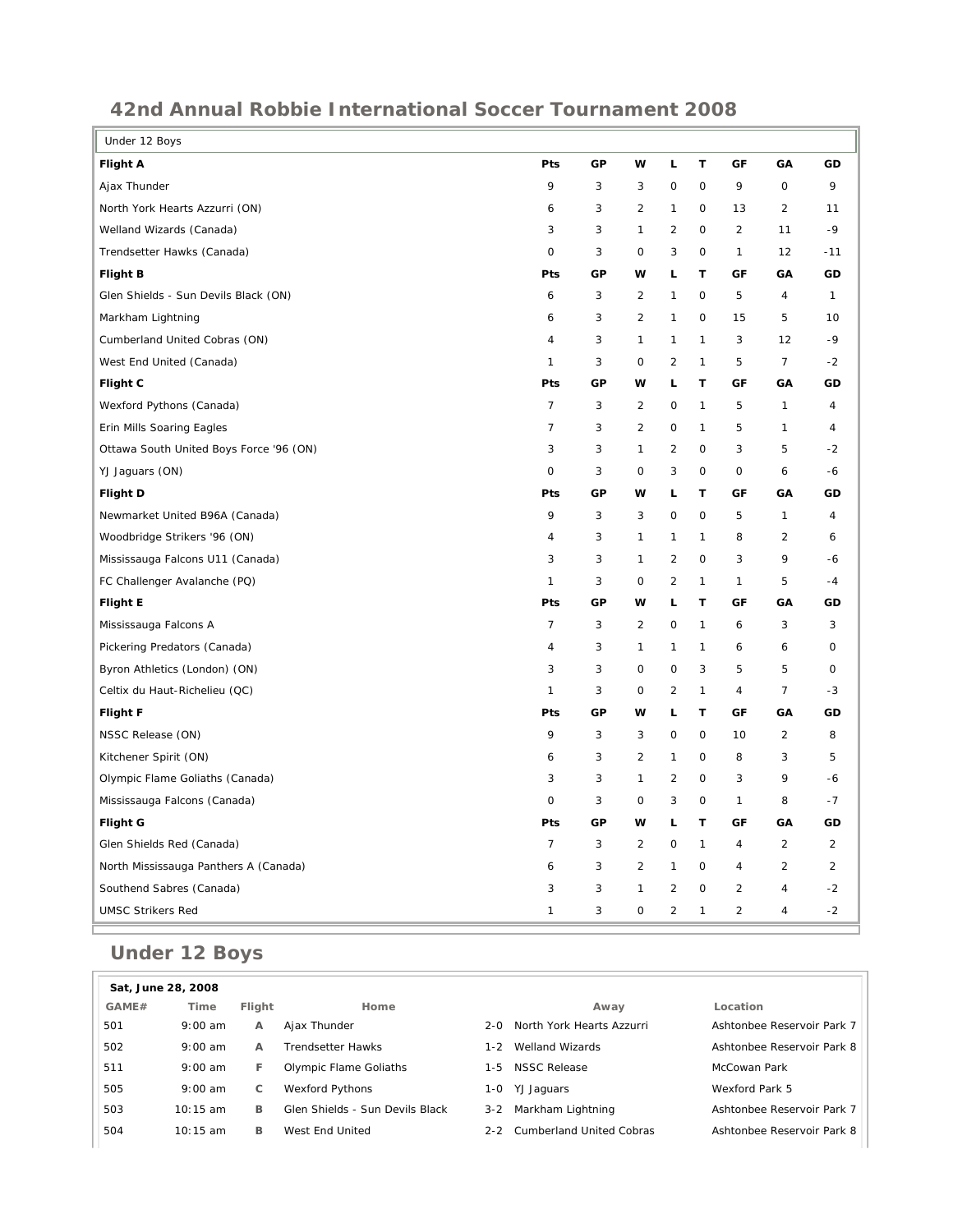## **42nd Annual Robbie International Soccer Tournament 2008**

| <b>Flight A</b><br>Pts<br>GP<br>w<br>Г<br>т<br>GF<br>GA<br>GD<br>9<br>$\mathsf O$<br>9<br>Ajax Thunder<br>3<br>3<br>0<br>$\mathsf O$<br>9<br>North York Hearts Azzurri (ON)<br>3<br>$\overline{2}$<br>$\mathsf O$<br>$\overline{2}$<br>6<br>1<br>13<br>11<br>$-9$<br>3<br>3<br>$\overline{2}$<br>$\overline{2}$<br>Welland Wizards (Canada)<br>$\mathbf{1}$<br>$\mathbf 0$<br>11<br>Trendsetter Hawks (Canada)<br>3<br>3<br>0<br>0<br>$\mathbf 0$<br>$\mathbf{1}$<br>12<br>$-11$<br><b>Flight B</b><br>Pts<br>GP<br>w<br>L<br>т<br>GF<br>GΑ<br>GD<br>Glen Shields - Sun Devils Black (ON)<br>6<br>3<br>$\overline{2}$<br>$\mathsf O$<br>5<br>$\overline{4}$<br>1<br>$\mathbf{1}$<br>3<br>$\overline{2}$<br>$\mathbf{1}$<br>$\mathsf O$<br>5<br>10<br>Markham Lightning<br>6<br>15<br>Cumberland United Cobras (ON)<br>3<br>$\mathbf{1}$<br>$\mathbf{1}$<br>$\mathbf{1}$<br>3<br>12<br>$-9$<br>4<br>$\overline{7}$<br>3<br>$\overline{2}$<br>5<br>West End United (Canada)<br>1<br>0<br>1<br>$-2$<br>г<br>т<br>Flight C<br>Pts<br>GР<br>w<br>GF<br>GΑ<br>GD<br>Wexford Pythons (Canada)<br>$\overline{7}$<br>3<br>$\overline{2}$<br>$\mathbf{1}$<br>0<br>5<br>$\mathbf{1}$<br>4 |
|--------------------------------------------------------------------------------------------------------------------------------------------------------------------------------------------------------------------------------------------------------------------------------------------------------------------------------------------------------------------------------------------------------------------------------------------------------------------------------------------------------------------------------------------------------------------------------------------------------------------------------------------------------------------------------------------------------------------------------------------------------------------------------------------------------------------------------------------------------------------------------------------------------------------------------------------------------------------------------------------------------------------------------------------------------------------------------------------------------------------------------------------------------------------------------|
|                                                                                                                                                                                                                                                                                                                                                                                                                                                                                                                                                                                                                                                                                                                                                                                                                                                                                                                                                                                                                                                                                                                                                                                |
|                                                                                                                                                                                                                                                                                                                                                                                                                                                                                                                                                                                                                                                                                                                                                                                                                                                                                                                                                                                                                                                                                                                                                                                |
|                                                                                                                                                                                                                                                                                                                                                                                                                                                                                                                                                                                                                                                                                                                                                                                                                                                                                                                                                                                                                                                                                                                                                                                |
|                                                                                                                                                                                                                                                                                                                                                                                                                                                                                                                                                                                                                                                                                                                                                                                                                                                                                                                                                                                                                                                                                                                                                                                |
|                                                                                                                                                                                                                                                                                                                                                                                                                                                                                                                                                                                                                                                                                                                                                                                                                                                                                                                                                                                                                                                                                                                                                                                |
|                                                                                                                                                                                                                                                                                                                                                                                                                                                                                                                                                                                                                                                                                                                                                                                                                                                                                                                                                                                                                                                                                                                                                                                |
|                                                                                                                                                                                                                                                                                                                                                                                                                                                                                                                                                                                                                                                                                                                                                                                                                                                                                                                                                                                                                                                                                                                                                                                |
|                                                                                                                                                                                                                                                                                                                                                                                                                                                                                                                                                                                                                                                                                                                                                                                                                                                                                                                                                                                                                                                                                                                                                                                |
|                                                                                                                                                                                                                                                                                                                                                                                                                                                                                                                                                                                                                                                                                                                                                                                                                                                                                                                                                                                                                                                                                                                                                                                |
|                                                                                                                                                                                                                                                                                                                                                                                                                                                                                                                                                                                                                                                                                                                                                                                                                                                                                                                                                                                                                                                                                                                                                                                |
|                                                                                                                                                                                                                                                                                                                                                                                                                                                                                                                                                                                                                                                                                                                                                                                                                                                                                                                                                                                                                                                                                                                                                                                |
|                                                                                                                                                                                                                                                                                                                                                                                                                                                                                                                                                                                                                                                                                                                                                                                                                                                                                                                                                                                                                                                                                                                                                                                |
| $\overline{7}$<br>3<br>$\overline{2}$<br>0<br>5<br>$\mathbf{1}$<br>Erin Mills Soaring Eagles<br>1<br>4                                                                                                                                                                                                                                                                                                                                                                                                                                                                                                                                                                                                                                                                                                                                                                                                                                                                                                                                                                                                                                                                         |
| 3<br>3<br>$\overline{c}$<br>3<br>5<br>Ottawa South United Boys Force '96 (ON)<br>$\mathbf{1}$<br>$\mathbf 0$<br>$-2$                                                                                                                                                                                                                                                                                                                                                                                                                                                                                                                                                                                                                                                                                                                                                                                                                                                                                                                                                                                                                                                           |
| $\mathsf{O}\xspace$<br>3<br>3<br>$\mathbf 0$<br>$\mathbf 0$<br>YJ Jaguars (ON)<br>0<br>6<br>$-6$                                                                                                                                                                                                                                                                                                                                                                                                                                                                                                                                                                                                                                                                                                                                                                                                                                                                                                                                                                                                                                                                               |
| GP<br>T<br><b>Flight D</b><br>Pts<br>w<br>г<br>GF<br>GA<br>GD                                                                                                                                                                                                                                                                                                                                                                                                                                                                                                                                                                                                                                                                                                                                                                                                                                                                                                                                                                                                                                                                                                                  |
| 9<br>3<br>Newmarket United B96A (Canada)<br>3<br>0<br>$\circ$<br>5<br>$\mathbf{1}$<br>4                                                                                                                                                                                                                                                                                                                                                                                                                                                                                                                                                                                                                                                                                                                                                                                                                                                                                                                                                                                                                                                                                        |
| Woodbridge Strikers '96 (ON)<br>$\overline{a}$<br>3<br>$\mathbf{1}$<br>$\mathbf{1}$<br>$\mathbf{1}$<br>8<br>$\overline{2}$<br>6                                                                                                                                                                                                                                                                                                                                                                                                                                                                                                                                                                                                                                                                                                                                                                                                                                                                                                                                                                                                                                                |
| Mississauga Falcons U11 (Canada)<br>3<br>3<br>$\mathbf{1}$<br>$\overline{2}$<br>$\mathbf 0$<br>3<br>9<br>$-6$                                                                                                                                                                                                                                                                                                                                                                                                                                                                                                                                                                                                                                                                                                                                                                                                                                                                                                                                                                                                                                                                  |
| 5<br>FC Challenger Avalanche (PQ)<br>$\mathbf{1}$<br>3<br>0<br>$\overline{2}$<br>$\mathbf{1}$<br>$\mathbf{1}$<br>$-4$                                                                                                                                                                                                                                                                                                                                                                                                                                                                                                                                                                                                                                                                                                                                                                                                                                                                                                                                                                                                                                                          |
| T<br><b>Flight E</b><br>Pts<br>GP<br>W<br>г<br>GF<br>GA<br>GD                                                                                                                                                                                                                                                                                                                                                                                                                                                                                                                                                                                                                                                                                                                                                                                                                                                                                                                                                                                                                                                                                                                  |
| $\overline{7}$<br>3<br>$\overline{2}$<br>3<br>0<br>$\mathbf{1}$<br>3<br>Mississauga Falcons A<br>6                                                                                                                                                                                                                                                                                                                                                                                                                                                                                                                                                                                                                                                                                                                                                                                                                                                                                                                                                                                                                                                                             |
| Pickering Predators (Canada)<br>3<br>0<br>$\overline{4}$<br>1<br>1<br>1<br>6<br>6                                                                                                                                                                                                                                                                                                                                                                                                                                                                                                                                                                                                                                                                                                                                                                                                                                                                                                                                                                                                                                                                                              |
| 5<br>3<br>3<br>3<br>5<br>Byron Athletics (London) (ON)<br>O<br>0<br>0                                                                                                                                                                                                                                                                                                                                                                                                                                                                                                                                                                                                                                                                                                                                                                                                                                                                                                                                                                                                                                                                                                          |
| $\overline{7}$<br>Celtix du Haut-Richelieu (QC)<br>3<br>0<br>$\overline{2}$<br>$\mathbf{1}$<br>$\overline{\mathbf{4}}$<br>$-3$<br>$\mathbf{1}$                                                                                                                                                                                                                                                                                                                                                                                                                                                                                                                                                                                                                                                                                                                                                                                                                                                                                                                                                                                                                                 |
| <b>Flight F</b><br>Pts<br>GP<br>w<br>г<br>т<br>GF<br>GA<br>GD                                                                                                                                                                                                                                                                                                                                                                                                                                                                                                                                                                                                                                                                                                                                                                                                                                                                                                                                                                                                                                                                                                                  |
| NSSC Release (ON)<br>9<br>3<br>3<br>0<br>$\mathsf O$<br>$\overline{2}$<br>8<br>10                                                                                                                                                                                                                                                                                                                                                                                                                                                                                                                                                                                                                                                                                                                                                                                                                                                                                                                                                                                                                                                                                              |
| $\overline{2}$<br>3<br>$\mathsf O$<br>8<br>3<br>5<br>Kitchener Spirit (ON)<br>6<br>1                                                                                                                                                                                                                                                                                                                                                                                                                                                                                                                                                                                                                                                                                                                                                                                                                                                                                                                                                                                                                                                                                           |
| 9<br>3<br>3<br>$\mathbf{1}$<br>$\overline{2}$<br>3<br>Olympic Flame Goliaths (Canada)<br>$\mathsf{O}$<br>-6                                                                                                                                                                                                                                                                                                                                                                                                                                                                                                                                                                                                                                                                                                                                                                                                                                                                                                                                                                                                                                                                    |
| 3<br>3<br>8<br>Mississauga Falcons (Canada)<br>0<br>0<br>$\mathsf{O}$<br>1<br>$-7$                                                                                                                                                                                                                                                                                                                                                                                                                                                                                                                                                                                                                                                                                                                                                                                                                                                                                                                                                                                                                                                                                             |
| Flight G<br>Pts<br>GP<br>w<br>г<br>т<br>GA<br>GD<br>GF                                                                                                                                                                                                                                                                                                                                                                                                                                                                                                                                                                                                                                                                                                                                                                                                                                                                                                                                                                                                                                                                                                                         |
| Glen Shields Red (Canada)<br>$\overline{7}$<br>3<br>$\overline{2}$<br>0<br>$\mathbf{1}$<br>$\overline{2}$<br>$\overline{a}$<br>4                                                                                                                                                                                                                                                                                                                                                                                                                                                                                                                                                                                                                                                                                                                                                                                                                                                                                                                                                                                                                                               |
| 3<br>$\overline{2}$<br>$\mathbf{1}$<br>$\mathsf O$<br>$\overline{2}$<br>$\overline{2}$<br>North Mississauga Panthers A (Canada)<br>6<br>4                                                                                                                                                                                                                                                                                                                                                                                                                                                                                                                                                                                                                                                                                                                                                                                                                                                                                                                                                                                                                                      |
| 3<br>3<br>$\overline{2}$<br>$\overline{2}$<br>Southend Sabres (Canada)<br>1<br>$\mathbf 0$<br>$\overline{4}$<br>$-2$                                                                                                                                                                                                                                                                                                                                                                                                                                                                                                                                                                                                                                                                                                                                                                                                                                                                                                                                                                                                                                                           |
| 3<br>$\overline{c}$<br>$\overline{c}$<br>1<br>0<br>1<br>4<br>$-2$<br><b>UMSC Strikers Red</b>                                                                                                                                                                                                                                                                                                                                                                                                                                                                                                                                                                                                                                                                                                                                                                                                                                                                                                                                                                                                                                                                                  |

## **Under 12 Boys**

| Sat, June 28, 2008 |            |        |                                 |         |                           |                            |  |  |  |
|--------------------|------------|--------|---------------------------------|---------|---------------------------|----------------------------|--|--|--|
| GAME#              | Time       | Flight | Home                            |         | Away                      | Location                   |  |  |  |
| 501                | $9:00$ am  | А      | Ajax Thunder                    | $2 - 0$ | North York Hearts Azzurri | Ashtonbee Reservoir Park 7 |  |  |  |
| 502                | $9:00$ am  | A      | <b>Trendsetter Hawks</b>        | 1-2     | Welland Wizards           | Ashtonbee Reservoir Park 8 |  |  |  |
| 511                | $9:00$ am  | F      | Olympic Flame Goliaths          | 1-5.    | <b>NSSC Release</b>       | McCowan Park               |  |  |  |
| 505                | $9:00$ am  | C      | <b>Wexford Pythons</b>          | 1-0     | YJ Jaguars                | Wexford Park 5             |  |  |  |
| 503                | $10:15$ am | в      | Glen Shields - Sun Devils Black | $3 - 2$ | Markham Lightning         | Ashtonbee Reservoir Park 7 |  |  |  |
| 504                | $10:15$ am | в      | West End United                 | $2 - 2$ | Cumberland United Cobras  | Ashtonbee Reservoir Park 8 |  |  |  |